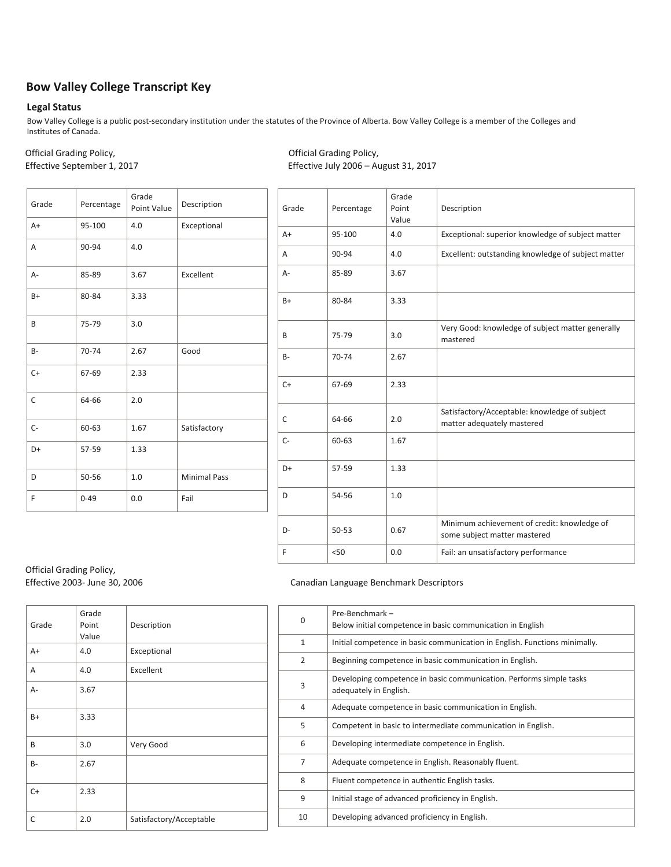# **Bow Valley College Transcript Key**

#### **Legal Status**

Bow Valley College is a public post-secondary institution under the statutes of the Province of Alberta. Bow Valley College is a member of the Colleges and Institutes of Canada.

Official Grading Policy, Official Grading Policy, Effective September 1, 2017 The September 1, 2017

| Grade     | Percentage | Grade<br>Point Value | Description         |
|-----------|------------|----------------------|---------------------|
| $A+$      | 95-100     | 4.0                  | Exceptional         |
| A         | 90-94      | 4.0                  |                     |
| $A -$     | 85-89      | 3.67                 | Excellent           |
| $B+$      | 80-84      | 3.33                 |                     |
| B         | 75-79      | 3.0                  |                     |
| <b>B-</b> | 70-74      | 2.67                 | Good                |
| $C+$      | 67-69      | 2.33                 |                     |
| C         | 64-66      | 2.0                  |                     |
| $C -$     | 60-63      | 1.67                 | Satisfactory        |
| D+        | 57-59      | 1.33                 |                     |
| D         | 50-56      | 1.0                  | <b>Minimal Pass</b> |
| F         | $0 - 49$   | 0.0                  | Fail                |

| Grade | Percentage | Grade<br>Point<br>Value | Description                                                                 |
|-------|------------|-------------------------|-----------------------------------------------------------------------------|
| $A+$  | 95-100     | 4.0                     | Exceptional: superior knowledge of subject matter                           |
| A     | 90-94      | 4.0                     | Excellent: outstanding knowledge of subject matter                          |
| А-    | 85-89      | 3.67                    |                                                                             |
| $B+$  | 80-84      | 3.33                    |                                                                             |
| B     | 75-79      | 3.0                     | Very Good: knowledge of subject matter generally<br>mastered                |
| $B -$ | 70-74      | 2.67                    |                                                                             |
| $C+$  | 67-69      | 2.33                    |                                                                             |
| C     | 64-66      | 2.0                     | Satisfactory/Acceptable: knowledge of subject<br>matter adequately mastered |
| $C-$  | 60-63      | 1.67                    |                                                                             |
| D+    | 57-59      | 1.33                    |                                                                             |
| D     | 54-56      | 1.0                     |                                                                             |
| D-    | $50 - 53$  | 0.67                    | Minimum achievement of credit: knowledge of<br>some subject matter mastered |
| F     | < 50       | 0.0                     | Fail: an unsatisfactory performance                                         |

Official Grading Policy,

| Grade | Grade<br>Point<br>Value | Description             |
|-------|-------------------------|-------------------------|
| $A+$  | 4.0                     | Exceptional             |
| A     | 4.0                     | Excellent               |
| $A -$ | 3.67                    |                         |
| $B+$  | 3.33                    |                         |
| B     | 3.0                     | Very Good               |
| $B -$ | 2.67                    |                         |
| $C+$  | 2.33                    |                         |
| C     | 2.0                     | Satisfactory/Acceptable |

### Effective 2003- June 30, 2006 Canadian Language Benchmark Descriptors

| 0              | Pre-Benchmark -<br>Below initial competence in basic communication in English                 |
|----------------|-----------------------------------------------------------------------------------------------|
| 1              | Initial competence in basic communication in English. Functions minimally.                    |
| $\overline{2}$ | Beginning competence in basic communication in English.                                       |
| 3              | Developing competence in basic communication. Performs simple tasks<br>adequately in English. |
| 4              | Adequate competence in basic communication in English.                                        |
| 5              | Competent in basic to intermediate communication in English.                                  |
| 6              | Developing intermediate competence in English.                                                |
| $\overline{7}$ | Adequate competence in English. Reasonably fluent.                                            |
| 8              | Fluent competence in authentic English tasks.                                                 |
| 9              | Initial stage of advanced proficiency in English.                                             |
| 10             | Developing advanced proficiency in English.                                                   |